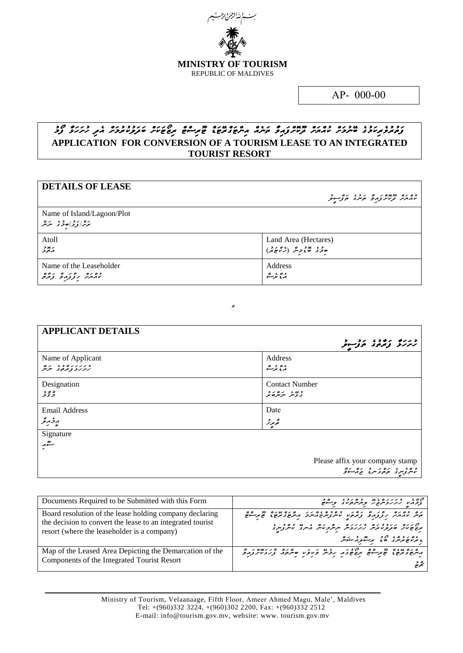

*AP- 000-00*

## *ފަތުރުވެރިކަމުގެ ބޭނުމަށް ކުއްޔަށް ދޫކޮށްފައިވާ ތަނެއް އިންޓަގްރޭޓަޑް ޓޫރިސްޓް ރިޒޯޓަކަށް ބަދަލުކުރުމަށް އެދި ހުށަހަޅާ ފޯމު*  **APPLICATION FOR CONVERSION OF A TOURISM LEASE TO AN INTEGRATED TOURIST RESORT**

| <b>DETAILS OF LEASE</b>                             | כס גם בכאית צ'ק לי בג' גם בין הב |
|-----------------------------------------------------|----------------------------------|
| Name of Island/Lagoon/Plot<br>برد از دارد و ، بر مر |                                  |
| Atoll                                               | Land Area (Hectares)             |
| ر پود<br>پرچونړ                                     | ودی هموچر (راموند)               |
| Name of the Leaseholder                             | Address                          |
| دە رە بە ئۇرگە ئۇ ئۇندە                             | ، ه ، مرگ                        |

*ާާ*

| <b>APPLICANT DETAILS</b>                                   |                                                                                                         |
|------------------------------------------------------------|---------------------------------------------------------------------------------------------------------|
|                                                            | ورزو زوده روستو                                                                                         |
| Name of Applicant<br>د ربربر د د ،<br>بربربر و برموی متریش | Address<br>، ه ، بر <u>م</u>                                                                            |
| Designation<br>ۇ ئۇز                                       | <b>Contact Number</b><br>د » ، پر ره د                                                                  |
| <b>Email Address</b>                                       | Date                                                                                                    |
| وخرمرعر                                                    | تحرمرز                                                                                                  |
| Signature                                                  |                                                                                                         |
| تشغر                                                       |                                                                                                         |
|                                                            | Please affix your company stamp<br>د ه د په په د د ده دره کرد کار کرد .<br>د سروسری موجوی سرع محادث کرد |

| Documents Required to be Submitted with this Form                                                                                                                    | קים בנגנים מי בסגבי בסביב<br>צבחיו גיגנית בי בחיים וביים                                                                                                                                                                                                                               |
|----------------------------------------------------------------------------------------------------------------------------------------------------------------------|----------------------------------------------------------------------------------------------------------------------------------------------------------------------------------------------------------------------------------------------------------------------------------------|
| Board resolution of the lease holding company declaring<br>the decision to convert the lease to an integrated tourist<br>resort (where the leaseholder is a company) | נים כסנים ניין לי נודר כסכסוסניני סנים מנים מים סיים.<br>היית מהותית נוצנה פינהיו מיתנית מיתכ הייתוק בינקים בינקיים<br>ם גום גובב גם בגוגת תתקבות בא מים בסבים.<br>משפטת סבקומותית גיקוקצית תתקבות הייתב וויתקניי<br>، ۲۵ ده ده می در پدر در مورد کرد.<br>د بر عرض در هند بر سویر کرد. |
| Map of the Leased Area Depicting the Demarcation of the<br>Components of the Integrated Tourist Resort                                                               |                                                                                                                                                                                                                                                                                        |